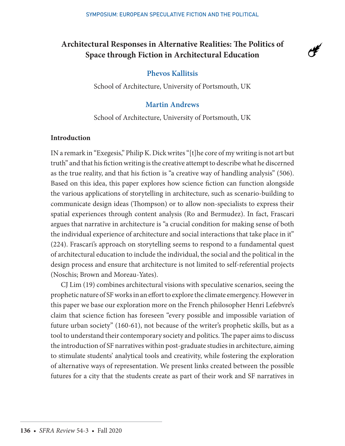# **Architectural Responses in Alternative Realities: The Politics of Space through Fiction in Architectural Education**



## **Phevos Kallitsis**

School of Architecture, University of Portsmouth, UK

# **Martin Andrews**

School of Architecture, University of Portsmouth, UK

#### **Introduction**

IN a remark in "Exegesis," Philip K. Dick writes "[t]he core of my writing is not art but truth" and that his fiction writing is the creative attempt to describe what he discerned as the true reality, and that his fiction is "a creative way of handling analysis" (506). Based on this idea, this paper explores how science fiction can function alongside the various applications of storytelling in architecture, such as scenario-building to communicate design ideas (Thompson) or to allow non-specialists to express their spatial experiences through content analysis (Ro and Bermudez). In fact, Frascari argues that narrative in architecture is "a crucial condition for making sense of both the individual experience of architecture and social interactions that take place in it" (224). Frascari's approach on storytelling seems to respond to a fundamental quest of architectural education to include the individual, the social and the political in the design process and ensure that architecture is not limited to self-referential projects (Noschis; Brown and Moreau-Yates).

CJ Lim (19) combines architectural visions with speculative scenarios, seeing the prophetic nature of SF works in an effort to explore the climate emergency. However in this paper we base our exploration more on the French philosopher Henri Lefebvre's claim that science fiction has foreseen "every possible and impossible variation of future urban society" (160-61), not because of the writer's prophetic skills, but as a tool to understand their contemporary society and politics. The paper aims to discuss the introduction of SF narratives within post-graduate studies in architecture, aiming to stimulate students' analytical tools and creativity, while fostering the exploration of alternative ways of representation. We present links created between the possible futures for a city that the students create as part of their work and SF narratives in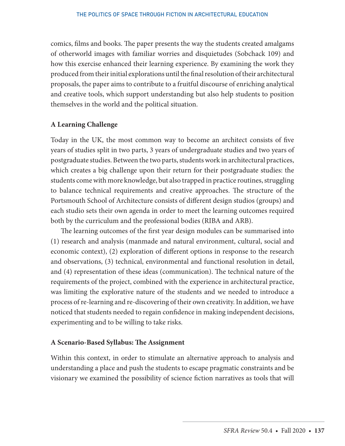comics, films and books. The paper presents the way the students created amalgams of otherworld images with familiar worries and disquietudes (Sobchack 109) and how this exercise enhanced their learning experience. By examining the work they produced from their initial explorations until the final resolution of their architectural proposals, the paper aims to contribute to a fruitful discourse of enriching analytical and creative tools, which support understanding but also help students to position themselves in the world and the political situation.

### **A Learning Challenge**

Today in the UK, the most common way to become an architect consists of five years of studies split in two parts, 3 years of undergraduate studies and two years of postgraduate studies. Between the two parts, students work in architectural practices, which creates a big challenge upon their return for their postgraduate studies: the students come with more knowledge, but also trapped in practice routines, struggling to balance technical requirements and creative approaches. The structure of the Portsmouth School of Architecture consists of different design studios (groups) and each studio sets their own agenda in order to meet the learning outcomes required both by the curriculum and the professional bodies (RIBA and ARB).

The learning outcomes of the first year design modules can be summarised into (1) research and analysis (manmade and natural environment, cultural, social and economic context), (2) exploration of different options in response to the research and observations, (3) technical, environmental and functional resolution in detail, and (4) representation of these ideas (communication). The technical nature of the requirements of the project, combined with the experience in architectural practice, was limiting the explorative nature of the students and we needed to introduce a process of re-learning and re-discovering of their own creativity. In addition, we have noticed that students needed to regain confidence in making independent decisions, experimenting and to be willing to take risks.

### **A Scenario-Based Syllabus: The Assignment**

Within this context, in order to stimulate an alternative approach to analysis and understanding a place and push the students to escape pragmatic constraints and be visionary we examined the possibility of science fiction narratives as tools that will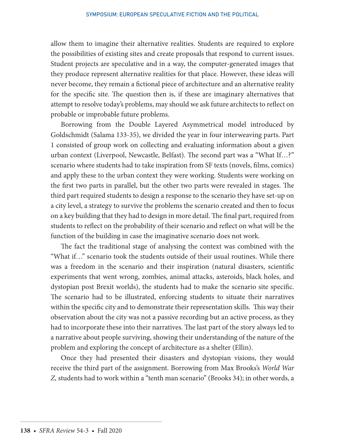allow them to imagine their alternative realities. Students are required to explore the possibilities of existing sites and create proposals that respond to current issues. Student projects are speculative and in a way, the computer-generated images that they produce represent alternative realities for that place. However, these ideas will never become, they remain a fictional piece of architecture and an alternative reality for the specific site. The question then is, if these are imaginary alternatives that attempt to resolve today's problems, may should we ask future architects to reflect on probable or improbable future problems.

Borrowing from the Double Layered Asymmetrical model introduced by Goldschmidt (Salama 133-35), we divided the year in four interweaving parts. Part 1 consisted of group work on collecting and evaluating information about a given urban context (Liverpool, Newcastle, Belfast). The second part was a "What If…?" scenario where students had to take inspiration from SF texts (novels, films, comics) and apply these to the urban context they were working. Students were working on the first two parts in parallel, but the other two parts were revealed in stages. The third part required students to design a response to the scenario they have set-up on a city level, a strategy to survive the problems the scenario created and then to focus on a key building that they had to design in more detail. The final part, required from students to reflect on the probability of their scenario and reflect on what will be the function of the building in case the imaginative scenario does not work.

The fact the traditional stage of analysing the context was combined with the "What if…" scenario took the students outside of their usual routines. While there was a freedom in the scenario and their inspiration (natural disasters, scientific experiments that went wrong, zombies, animal attacks, asteroids, black holes, and dystopian post Brexit worlds), the students had to make the scenario site specific. The scenario had to be illustrated, enforcing students to situate their narratives within the specific city and to demonstrate their representation skills. This way their observation about the city was not a passive recording but an active process, as they had to incorporate these into their narratives. The last part of the story always led to a narrative about people surviving, showing their understanding of the nature of the problem and exploring the concept of architecture as a shelter (Ellin).

Once they had presented their disasters and dystopian visions, they would receive the third part of the assignment. Borrowing from Max Brooks's *World War Z,* students had to work within a "tenth man scenario" (Brooks 34); in other words, a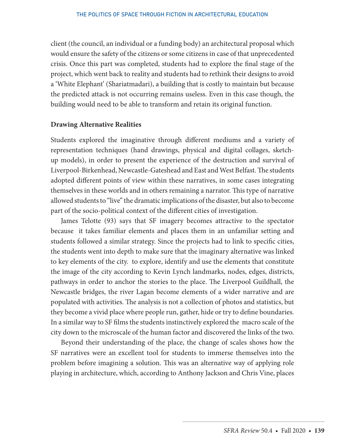client (the council, an individual or a funding body) an architectural proposal which would ensure the safety of the citizens or some citizens in case of that unprecedented crisis. Once this part was completed, students had to explore the final stage of the project, which went back to reality and students had to rethink their designs to avoid a 'White Elephant' (Shariatmadari), a building that is costly to maintain but because the predicted attack is not occurring remains useless. Even in this case though, the building would need to be able to transform and retain its original function.

#### **Drawing Alternative Realities**

Students explored the imaginative through different mediums and a variety of representation techniques (hand drawings, physical and digital collages, sketchup models), in order to present the experience of the destruction and survival of Liverpool-Birkenhead, Newcastle-Gateshead and East and West Belfast. The students adopted different points of view within these narratives, in some cases integrating themselves in these worlds and in others remaining a narrator. This type of narrative allowed students to "live" the dramatic implications of the disaster, but also to become part of the socio-political context of the different cities of investigation.

James Telotte (93) says that SF imagery becomes attractive to the spectator because it takes familiar elements and places them in an unfamiliar setting and students followed a similar strategy. Since the projects had to link to specific cities, the students went into depth to make sure that the imaginary alternative was linked to key elements of the city. to explore, identify and use the elements that constitute the image of the city according to Kevin Lynch landmarks, nodes, edges, districts, pathways in order to anchor the stories to the place. The Liverpool Guildhall, the Newcastle bridges, the river Lagan become elements of a wider narrative and are populated with activities. The analysis is not a collection of photos and statistics, but they become a vivid place where people run, gather, hide or try to define boundaries. In a similar way to SF films the students instinctively explored the macro scale of the city down to the microscale of the human factor and discovered the links of the two.

Beyond their understanding of the place, the change of scales shows how the SF narratives were an excellent tool for students to immerse themselves into the problem before imagining a solution. This was an alternative way of applying role playing in architecture, which, according to Anthony Jackson and Chris Vine, places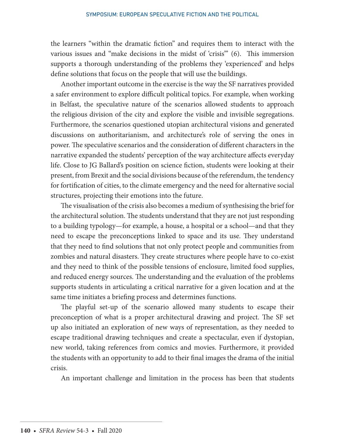the learners "within the dramatic fiction" and requires them to interact with the various issues and "make decisions in the midst of 'crisis'" (6). This immersion supports a thorough understanding of the problems they 'experienced' and helps define solutions that focus on the people that will use the buildings.

Another important outcome in the exercise is the way the SF narratives provided a safer environment to explore difficult political topics. For example, when working in Belfast, the speculative nature of the scenarios allowed students to approach the religious division of the city and explore the visible and invisible segregations. Furthermore, the scenarios questioned utopian architectural visions and generated discussions on authoritarianism, and architecture's role of serving the ones in power. The speculative scenarios and the consideration of different characters in the narrative expanded the students' perception of the way architecture affects everyday life. Close to JG Ballard's position on science fiction, students were looking at their present, from Brexit and the social divisions because of the referendum, the tendency for fortification of cities, to the climate emergency and the need for alternative social structures, projecting their emotions into the future.

The visualisation of the crisis also becomes a medium of synthesising the brief for the architectural solution. The students understand that they are not just responding to a building typology—for example, a house, a hospital or a school—and that they need to escape the preconceptions linked to space and its use. They understand that they need to find solutions that not only protect people and communities from zombies and natural disasters. They create structures where people have to co-exist and they need to think of the possible tensions of enclosure, limited food supplies, and reduced energy sources. The understanding and the evaluation of the problems supports students in articulating a critical narrative for a given location and at the same time initiates a briefing process and determines functions.

The playful set-up of the scenario allowed many students to escape their preconception of what is a proper architectural drawing and project. The SF set up also initiated an exploration of new ways of representation, as they needed to escape traditional drawing techniques and create a spectacular, even if dystopian, new world, taking references from comics and movies. Furthermore, it provided the students with an opportunity to add to their final images the drama of the initial crisis.

An important challenge and limitation in the process has been that students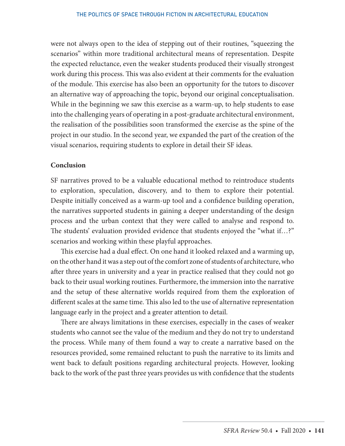were not always open to the idea of stepping out of their routines, "squeezing the scenarios" within more traditional architectural means of representation. Despite the expected reluctance, even the weaker students produced their visually strongest work during this process. This was also evident at their comments for the evaluation of the module. This exercise has also been an opportunity for the tutors to discover an alternative way of approaching the topic, beyond our original conceptualisation. While in the beginning we saw this exercise as a warm-up, to help students to ease into the challenging years of operating in a post-graduate architectural environment, the realisation of the possibilities soon transformed the exercise as the spine of the project in our studio. In the second year, we expanded the part of the creation of the visual scenarios, requiring students to explore in detail their SF ideas.

#### **Conclusion**

SF narratives proved to be a valuable educational method to reintroduce students to exploration, speculation, discovery, and to them to explore their potential. Despite initially conceived as a warm-up tool and a confidence building operation, the narratives supported students in gaining a deeper understanding of the design process and the urban context that they were called to analyse and respond to. The students' evaluation provided evidence that students enjoyed the "what if…?" scenarios and working within these playful approaches.

This exercise had a dual effect. On one hand it looked relaxed and a warming up, on the other hand it was a step out of the comfort zone of students of architecture, who after three years in university and a year in practice realised that they could not go back to their usual working routines. Furthermore, the immersion into the narrative and the setup of these alternative worlds required from them the exploration of different scales at the same time. This also led to the use of alternative representation language early in the project and a greater attention to detail.

There are always limitations in these exercises, especially in the cases of weaker students who cannot see the value of the medium and they do not try to understand the process. While many of them found a way to create a narrative based on the resources provided, some remained reluctant to push the narrative to its limits and went back to default positions regarding architectural projects. However, looking back to the work of the past three years provides us with confidence that the students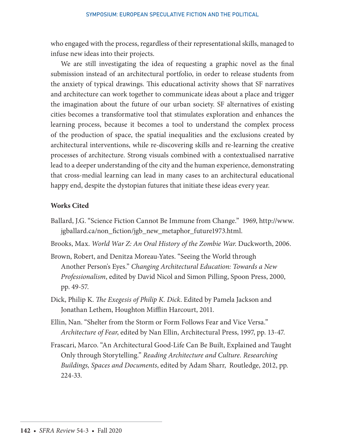who engaged with the process, regardless of their representational skills, managed to infuse new ideas into their projects.

We are still investigating the idea of requesting a graphic novel as the final submission instead of an architectural portfolio, in order to release students from the anxiety of typical drawings. This educational activity shows that SF narratives and architecture can work together to communicate ideas about a place and trigger the imagination about the future of our urban society. SF alternatives of existing cities becomes a transformative tool that stimulates exploration and enhances the learning process, because it becomes a tool to understand the complex process of the production of space, the spatial inequalities and the exclusions created by architectural interventions, while re-discovering skills and re-learning the creative processes of architecture. Strong visuals combined with a contextualised narrative lead to a deeper understanding of the city and the human experience, demonstrating that cross-medial learning can lead in many cases to an architectural educational happy end, despite the dystopian futures that initiate these ideas every year.

#### **Works Cited**

- Ballard, J.G. "Science Fiction Cannot Be Immune from Change." 1969, http://www. jgballard.ca/non\_fiction/jgb\_new\_metaphor\_future1973.html.
- Brooks, Max. *World War Z: An Oral History of the Zombie War*. Duckworth, 2006.
- Brown, Robert, and Denitza Moreau-Yates. "Seeing the World through Another Person's Eyes." *Changing Architectural Education: Towards a New Professionalism*, edited by David Nicol and Simon Pilling, Spoon Press, 2000, pp. 49-57.
- Dick, Philip K. *The Exegesis of Philip K. Dick*. Edited by Pamela Jackson and Jonathan Lethem, Houghton Mifflin Harcourt, 2011.
- Ellin, Nan. "Shelter from the Storm or Form Follows Fear and Vice Versa." *Architecture of Fear*, edited by Nan Ellin, Architectural Press, 1997, pp. 13-47.
- Frascari, Marco. "An Architectural Good-Life Can Be Built, Explained and Taught Only through Storytelling." *Reading Architecture and Culture. Researching Buildings, Spaces and Documents*, edited by Adam Sharr, Routledge, 2012, pp. 224-33.